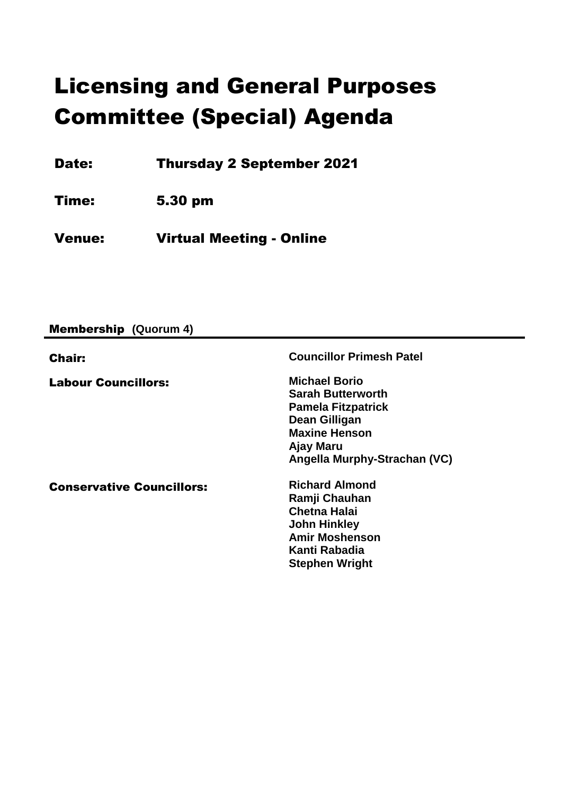# Licensing and General Purposes Committee (Special) Agenda

Date: Thursday 2 September 2021

Time: 5.30 pm

Venue: Virtual Meeting - Online

Membership **(Quorum 4)**

| <b>Chair:</b>                    | <b>Councillor Primesh Patel</b>                                                                                                                                     |
|----------------------------------|---------------------------------------------------------------------------------------------------------------------------------------------------------------------|
| <b>Labour Councillors:</b>       | <b>Michael Borio</b><br><b>Sarah Butterworth</b><br><b>Pamela Fitzpatrick</b><br>Dean Gilligan<br><b>Maxine Henson</b><br>Ajay Maru<br>Angella Murphy-Strachan (VC) |
| <b>Conservative Councillors:</b> | <b>Richard Almond</b><br>Ramji Chauhan<br><b>Chetna Halai</b><br><b>John Hinkley</b><br><b>Amir Moshenson</b><br>Kanti Rabadia<br><b>Stephen Wright</b>             |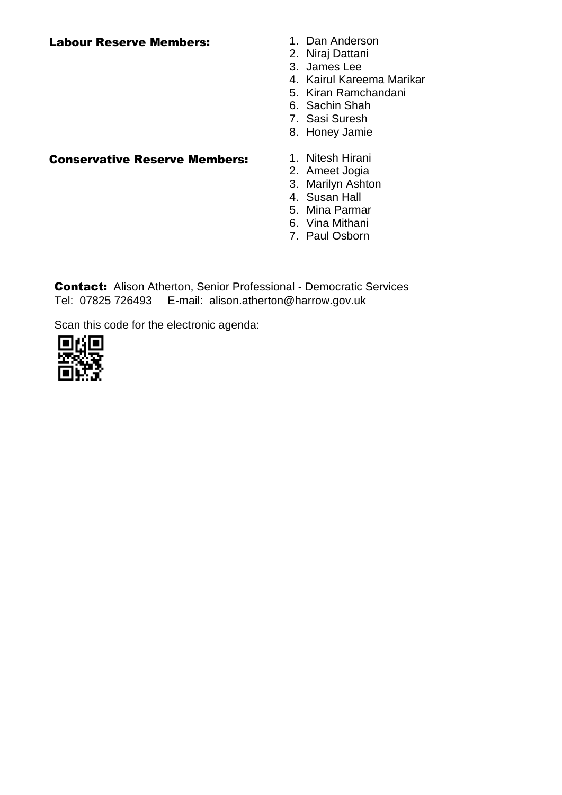### Labour Reserve Members: 1. Dan Anderson

- 
- 2. Niraj Dattani
- 3. James Lee
- 4. Kairul Kareema Marikar
- 5. Kiran Ramchandani
- 6. Sachin Shah
- 7. Sasi Suresh
- 8. Honey Jamie

## Conservative Reserve Members: 1. Nitesh Hirani

- 
- 2. Ameet Jogia
- 3. Marilyn Ashton
- 4. Susan Hall
- 5. Mina Parmar
- 6. Vina Mithani
- 7. Paul Osborn

Contact:Alison Atherton, Senior Professional - Democratic Services Tel: 07825 726493 E-mail: alison.atherton@harrow.gov.uk

Scan this code for the electronic agenda:

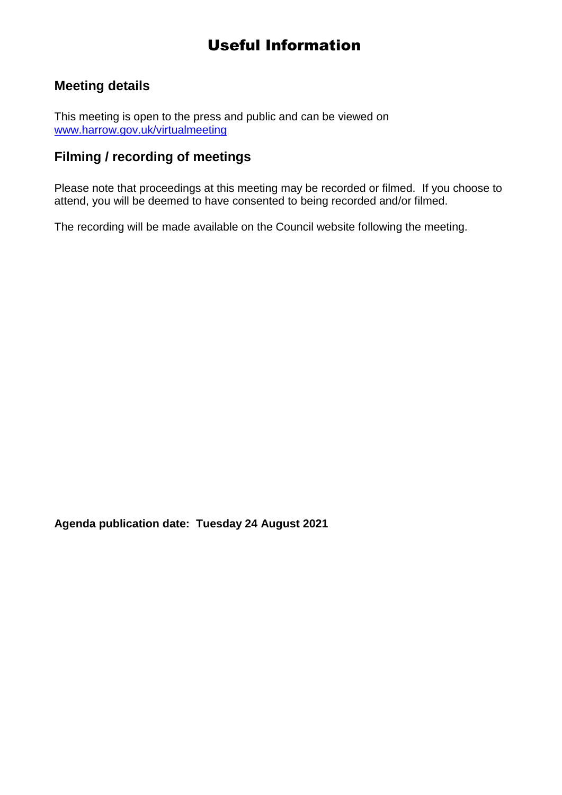# Useful Information

## **Meeting details**

This meeting is open to the press and public and can be viewed on [www.harrow.gov.uk/virtualmeeting](http://www.harrow.gov.uk/virtualmeeting)

## **Filming / recording of meetings**

Please note that proceedings at this meeting may be recorded or filmed. If you choose to attend, you will be deemed to have consented to being recorded and/or filmed.

The recording will be made available on the Council website following the meeting.

**Agenda publication date: Tuesday 24 August 2021**